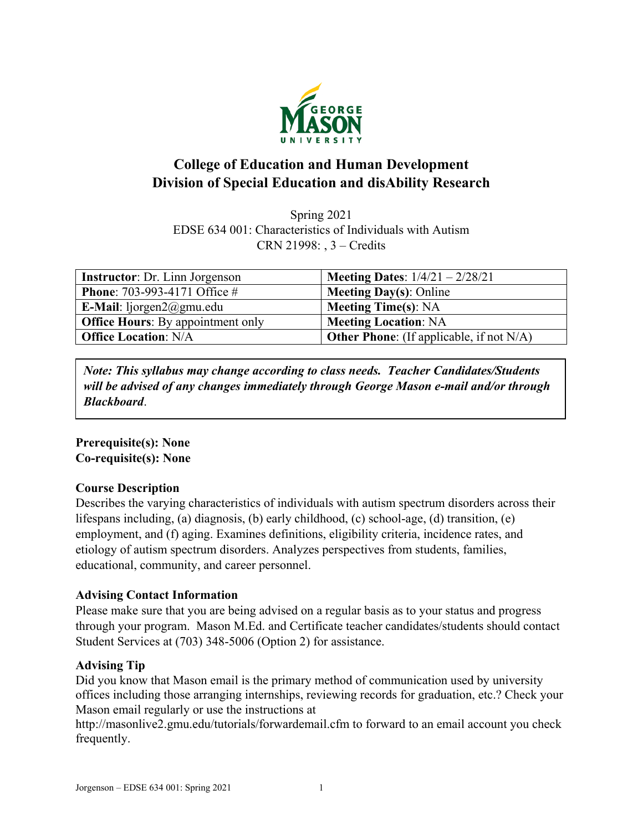

# **College of Education and Human Development Division of Special Education and disAbility Research**

Spring 2021 EDSE 634 001: Characteristics of Individuals with Autism CRN 21998: , 3 – Credits

| <b>Instructor:</b> Dr. Linn Jorgenson    | <b>Meeting Dates:</b> $1/4/21 - 2/28/21$        |
|------------------------------------------|-------------------------------------------------|
| <b>Phone:</b> 703-993-4171 Office #      | <b>Meeting Day(s): Online</b>                   |
| E-Mail: $liporgan2@gmu.edu$              | <b>Meeting Time(s): NA</b>                      |
| <b>Office Hours:</b> By appointment only | <b>Meeting Location: NA</b>                     |
| <b>Office Location: N/A</b>              | <b>Other Phone:</b> (If applicable, if not N/A) |

*Note: This syllabus may change according to class needs. Teacher Candidates/Students will be advised of any changes immediately through George Mason e-mail and/or through Blackboard*.

# **Prerequisite(s): None Co-requisite(s): None**

# **Course Description**

Describes the varying characteristics of individuals with autism spectrum disorders across their lifespans including, (a) diagnosis, (b) early childhood, (c) school-age, (d) transition, (e) employment, and (f) aging. Examines definitions, eligibility criteria, incidence rates, and etiology of autism spectrum disorders. Analyzes perspectives from students, families, educational, community, and career personnel.

# **Advising Contact Information**

Please make sure that you are being advised on a regular basis as to your status and progress through your program. Mason M.Ed. and Certificate teacher candidates/students should contact Student Services at (703) 348-5006 (Option 2) for assistance.

# **Advising Tip**

Did you know that Mason email is the primary method of communication used by university offices including those arranging internships, reviewing records for graduation, etc.? Check your Mason email regularly or use the instructions at

http://masonlive2.gmu.edu/tutorials/forwardemail.cfm to forward to an email account you check frequently.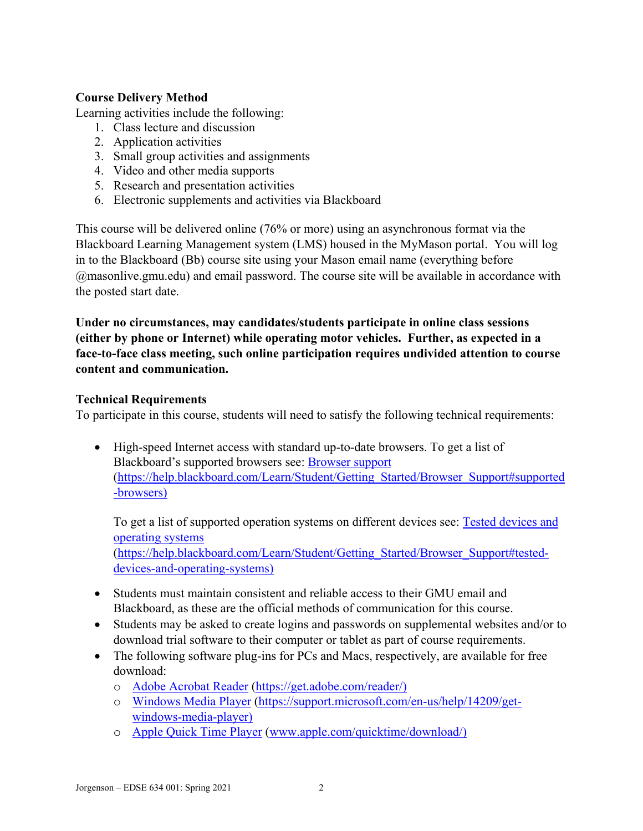# **Course Delivery Method**

Learning activities include the following:

- 1. Class lecture and discussion
- 2. Application activities
- 3. Small group activities and assignments
- 4. Video and other media supports
- 5. Research and presentation activities
- 6. Electronic supplements and activities via Blackboard

This course will be delivered online (76% or more) using an asynchronous format via the Blackboard Learning Management system (LMS) housed in the MyMason portal. You will log in to the Blackboard (Bb) course site using your Mason email name (everything before @masonlive.gmu.edu) and email password. The course site will be available in accordance with the posted start date.

**Under no circumstances, may candidates/students participate in online class sessions (either by phone or Internet) while operating motor vehicles. Further, as expected in a face-to-face class meeting, such online participation requires undivided attention to course content and communication.**

### **Technical Requirements**

To participate in this course, students will need to satisfy the following technical requirements:

• High-speed Internet access with standard up-to-date browsers. To get a list of Blackboard's supported browsers see: [Browser support](https://help.blackboard.com/Learn/Student/Getting_Started/Browser_Support#supported-browsers) [\(https://help.blackboard.com/Learn/Student/Getting\\_Started/Browser\\_Support#supported](https://help.blackboard.com/Learn/Student/Getting_Started/Browser_Support#supported-browsers) [-browsers\)](https://help.blackboard.com/Learn/Student/Getting_Started/Browser_Support#supported-browsers)

To get a list of supported operation systems on different devices see: [Tested devices and](https://help.blackboard.com/Learn/Student/Getting_Started/Browser_Support#tested-devices-and-operating-systems)  [operating systems](https://help.blackboard.com/Learn/Student/Getting_Started/Browser_Support#tested-devices-and-operating-systems) [\(https://help.blackboard.com/Learn/Student/Getting\\_Started/Browser\\_Support#tested](https://help.blackboard.com/Learn/Student/Getting_Started/Browser_Support#tested-devices-and-operating-systems)[devices-and-operating-systems\)](https://help.blackboard.com/Learn/Student/Getting_Started/Browser_Support#tested-devices-and-operating-systems)

- Students must maintain consistent and reliable access to their GMU email and Blackboard, as these are the official methods of communication for this course.
- Students may be asked to create logins and passwords on supplemental websites and/or to download trial software to their computer or tablet as part of course requirements.
- The following software plug-ins for PCs and Macs, respectively, are available for free download:
	- o [Adobe Acrobat Reader](https://get.adobe.com/reader/) [\(https://get.adobe.com/reader/\)](https://get.adobe.com/reader/)
	- o [Windows Media Player](https://support.microsoft.com/en-us/help/14209/get-windows-media-player) [\(https://support.microsoft.com/en-us/help/14209/get](https://support.microsoft.com/en-us/help/14209/get-windows-media-player)[windows-media-player\)](https://support.microsoft.com/en-us/help/14209/get-windows-media-player)
	- o [Apple Quick Time Player](http://www.apple.com/quicktime/download/) [\(www.apple.com/quicktime/download/\)](http://www.apple.com/quicktime/download/)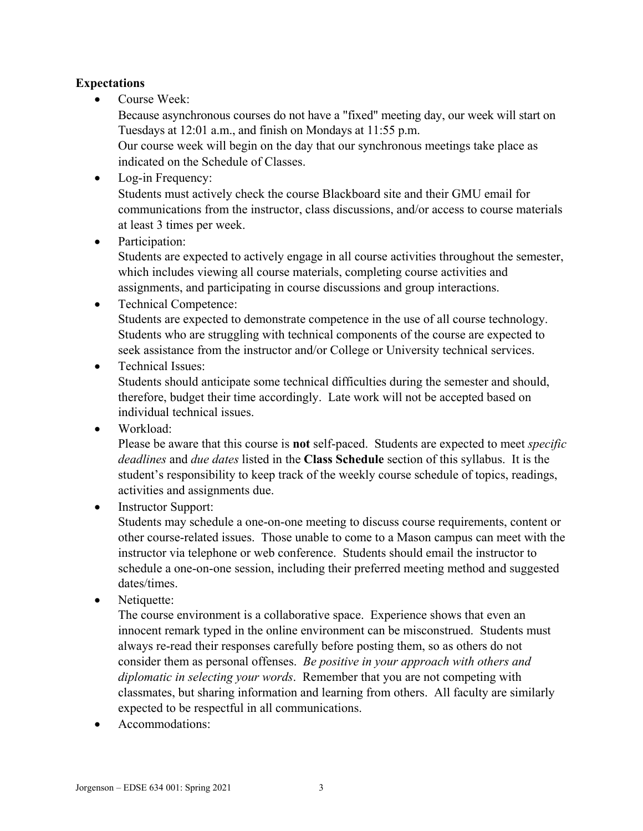# **Expectations**

Course Week:

Because asynchronous courses do not have a "fixed" meeting day, our week will start on Tuesdays at 12:01 a.m., and finish on Mondays at 11:55 p.m.

Our course week will begin on the day that our synchronous meetings take place as indicated on the Schedule of Classes.

- Log-in Frequency: Students must actively check the course Blackboard site and their GMU email for communications from the instructor, class discussions, and/or access to course materials at least 3 times per week.
- Participation:

Students are expected to actively engage in all course activities throughout the semester, which includes viewing all course materials, completing course activities and assignments, and participating in course discussions and group interactions.

- Technical Competence: Students are expected to demonstrate competence in the use of all course technology. Students who are struggling with technical components of the course are expected to seek assistance from the instructor and/or College or University technical services.
- Technical Issues:

Students should anticipate some technical difficulties during the semester and should, therefore, budget their time accordingly. Late work will not be accepted based on individual technical issues.

• Workload:

Please be aware that this course is **not** self-paced. Students are expected to meet *specific deadlines* and *due dates* listed in the **Class Schedule** section of this syllabus. It is the student's responsibility to keep track of the weekly course schedule of topics, readings, activities and assignments due.

• Instructor Support:

Students may schedule a one-on-one meeting to discuss course requirements, content or other course-related issues. Those unable to come to a Mason campus can meet with the instructor via telephone or web conference. Students should email the instructor to schedule a one-on-one session, including their preferred meeting method and suggested dates/times.

• Netiquette:

The course environment is a collaborative space. Experience shows that even an innocent remark typed in the online environment can be misconstrued. Students must always re-read their responses carefully before posting them, so as others do not consider them as personal offenses. *Be positive in your approach with others and diplomatic in selecting your words*. Remember that you are not competing with classmates, but sharing information and learning from others. All faculty are similarly expected to be respectful in all communications.

• Accommodations: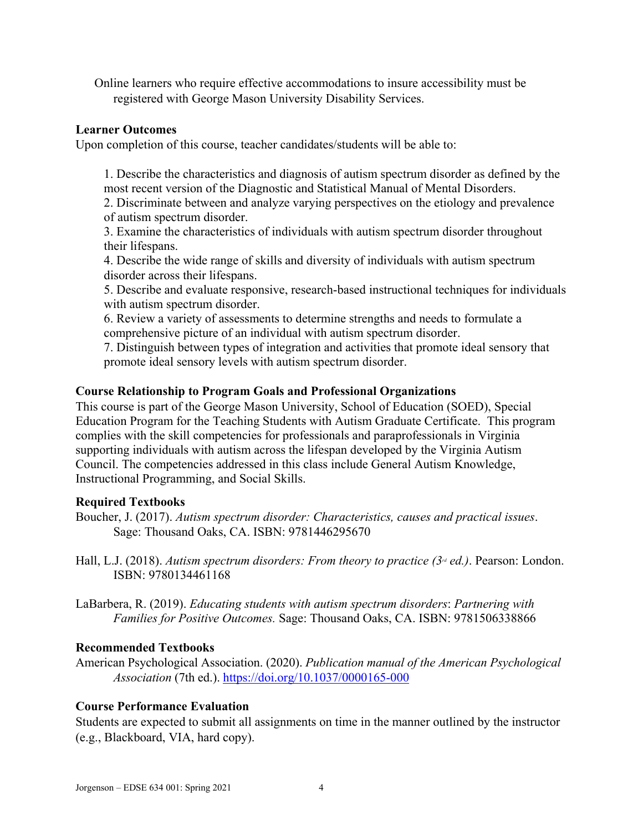Online learners who require effective accommodations to insure accessibility must be registered with George Mason University Disability Services.

### **Learner Outcomes**

Upon completion of this course, teacher candidates/students will be able to:

1. Describe the characteristics and diagnosis of autism spectrum disorder as defined by the most recent version of the Diagnostic and Statistical Manual of Mental Disorders.

2. Discriminate between and analyze varying perspectives on the etiology and prevalence of autism spectrum disorder.

3. Examine the characteristics of individuals with autism spectrum disorder throughout their lifespans.

4. Describe the wide range of skills and diversity of individuals with autism spectrum disorder across their lifespans.

5. Describe and evaluate responsive, research-based instructional techniques for individuals with autism spectrum disorder.

6. Review a variety of assessments to determine strengths and needs to formulate a comprehensive picture of an individual with autism spectrum disorder.

7. Distinguish between types of integration and activities that promote ideal sensory that promote ideal sensory levels with autism spectrum disorder.

### **Course Relationship to Program Goals and Professional Organizations**

This course is part of the George Mason University, School of Education (SOED), Special Education Program for the Teaching Students with Autism Graduate Certificate. This program complies with the skill competencies for professionals and paraprofessionals in Virginia supporting individuals with autism across the lifespan developed by the Virginia Autism Council. The competencies addressed in this class include General Autism Knowledge, Instructional Programming, and Social Skills.

### **Required Textbooks**

- Boucher, J. (2017). *Autism spectrum disorder: Characteristics, causes and practical issues*. Sage: Thousand Oaks, CA. ISBN: 9781446295670
- Hall, L.J. (2018). *Autism spectrum disorders: From theory to practice (3<sup>rd</sup> ed.)*. Pearson: London. ISBN: 9780134461168
- LaBarbera, R. (2019). *Educating students with autism spectrum disorders*: *Partnering with Families for Positive Outcomes.* Sage: Thousand Oaks, CA. ISBN: 9781506338866

### **Recommended Textbooks**

American Psychological Association. (2020). *Publication manual of the American Psychological Association* (7th ed.).<https://doi.org/10.1037/0000165-000>

# **Course Performance Evaluation**

Students are expected to submit all assignments on time in the manner outlined by the instructor (e.g., Blackboard, VIA, hard copy).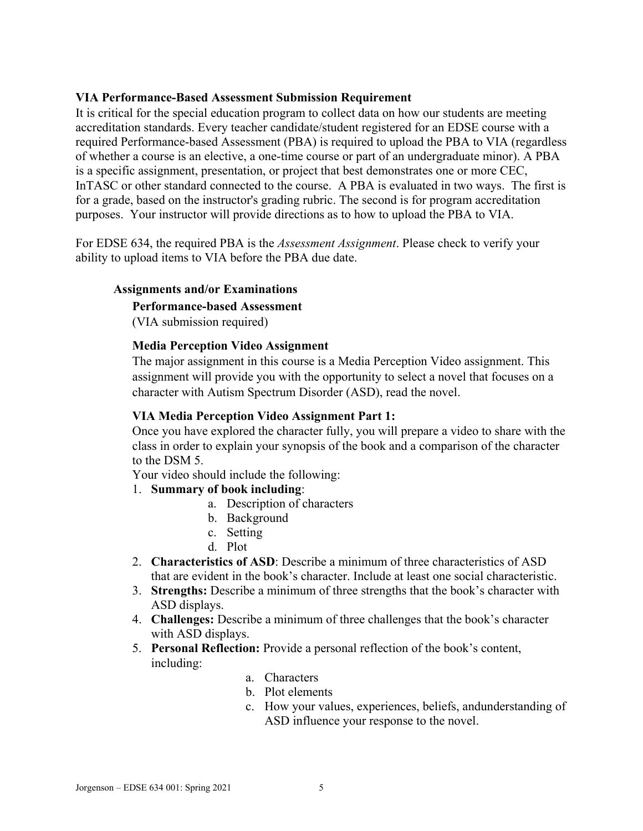### **VIA Performance-Based Assessment Submission Requirement**

It is critical for the special education program to collect data on how our students are meeting accreditation standards. Every teacher candidate/student registered for an EDSE course with a required Performance-based Assessment (PBA) is required to upload the PBA to VIA (regardless of whether a course is an elective, a one-time course or part of an undergraduate minor). A PBA is a specific assignment, presentation, or project that best demonstrates one or more CEC, InTASC or other standard connected to the course. A PBA is evaluated in two ways. The first is for a grade, based on the instructor's grading rubric. The second is for program accreditation purposes. Your instructor will provide directions as to how to upload the PBA to VIA.

For EDSE 634, the required PBA is the *Assessment Assignment*. Please check to verify your ability to upload items to VIA before the PBA due date.

### **Assignments and/or Examinations**

#### **Performance-based Assessment**

(VIA submission required)

#### **Media Perception Video Assignment**

The major assignment in this course is a Media Perception Video assignment. This assignment will provide you with the opportunity to select a novel that focuses on a character with Autism Spectrum Disorder (ASD), read the novel.

#### **VIA Media Perception Video Assignment Part 1:**

Once you have explored the character fully, you will prepare a video to share with the class in order to explain your synopsis of the book and a comparison of the character to the DSM 5.

Your video should include the following:

#### 1. **Summary of book including**:

- a. Description of characters
- b. Background
- c. Setting
- d. Plot
- 2. **Characteristics of ASD**: Describe a minimum of three characteristics of ASD that are evident in the book's character. Include at least one social characteristic.
- 3. **Strengths:** Describe a minimum of three strengths that the book's character with ASD displays.
- 4. **Challenges:** Describe a minimum of three challenges that the book's character with ASD displays.
- 5. **Personal Reflection:** Provide a personal reflection of the book's content, including:
	- a. Characters
	- b. Plot elements
	- c. How your values, experiences, beliefs, andunderstanding of ASD influence your response to the novel.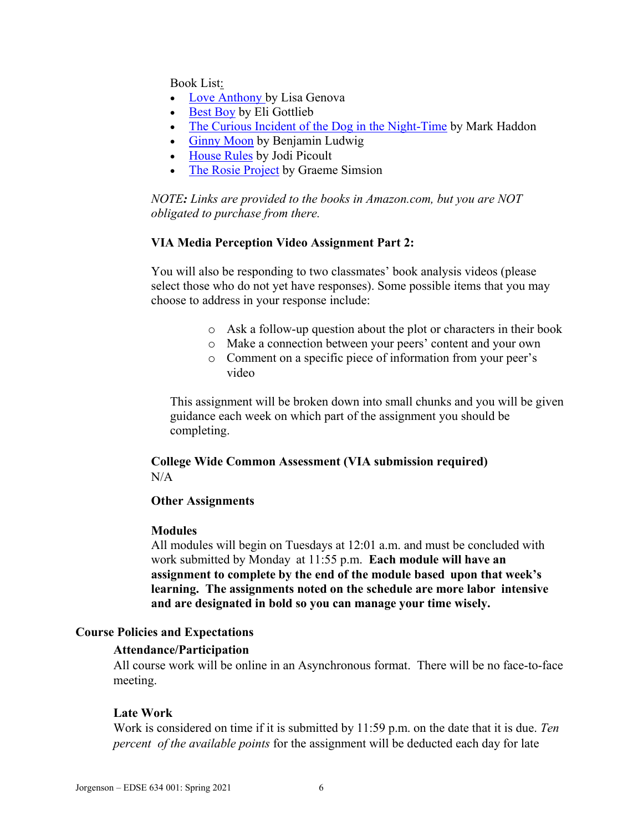Book List:

- [Love Anthony b](https://www.amazon.com/dp/B007EDYKSE/ref=dp-kindle-redirect?_encoding=UTF8&btkr=1)y Lisa Genova
- [Best Boy](https://www.amazon.com/Best-Boy-Novel-Eli-Gottlieb-ebook/dp/B00OBSZNT0/ref=sr_1_1?s=digital-text&ie=UTF8&qid=1534357232&sr=1-1&keywords=best+boy) by Eli Gottlieb
- [The Curious Incident of the Dog in the Night-Time](https://www.amazon.com/Curious-Incident-Dog-Night-Time-Contemporaries-ebook/dp/B000FC1MCS/ref=sr_1_1?s=digital-text&ie=UTF8&qid=1534357281&sr=1-1&keywords=The+Curious+Incident+of+the+Dog+in+the+Night-Time) by Mark Haddon
- [Ginny Moon](https://www.amazon.com/s?url=search-alias%3Ddigital-text&field-keywords=Ginny+Moon) by Benjamin Ludwig
- [House Rules](https://www.amazon.com/House-Rules-Novel-Jodi-Picoult-ebook/dp/B0035G08QM/ref=sr_1_1?s=digital-text&ie=UTF8&qid=1534357393&sr=1-1&keywords=house+rules) by Jodi Picoult
- [The Rosie Project](https://www.amazon.com/Rosie-Project-Novel-Tillman-Book-ebook/dp/B00BSBR9N6/ref=sr_1_1?s=digital-text&ie=UTF8&qid=1534357438&sr=1-1&keywords=The+Rosie+Project&dpID=51zS47EOayL&preST=_SY445_QL70_&dpSrc=srch) by Graeme Simsion

*NOTE: Links are provided to the books in Amazon.com, but you are NOT obligated to purchase from there.*

#### **VIA Media Perception Video Assignment Part 2:**

You will also be responding to two classmates' book analysis videos (please select those who do not yet have responses). Some possible items that you may choose to address in your response include:

- o Ask a follow-up question about the plot or characters in their book
- o Make a connection between your peers' content and your own
- o Comment on a specific piece of information from your peer's video

This assignment will be broken down into small chunks and you will be given guidance each week on which part of the assignment you should be completing.

### **College Wide Common Assessment (VIA submission required)**  $N/A$

#### **Other Assignments**

#### **Modules**

All modules will begin on Tuesdays at 12:01 a.m. and must be concluded with work submitted by Monday at 11:55 p.m. **Each module will have an assignment to complete by the end of the module based upon that week's learning. The assignments noted on the schedule are more labor intensive and are designated in bold so you can manage your time wisely.**

#### **Course Policies and Expectations**

#### **Attendance/Participation**

All course work will be online in an Asynchronous format. There will be no face-to-face meeting.

#### **Late Work**

Work is considered on time if it is submitted by 11:59 p.m. on the date that it is due. *Ten percent of the available points* for the assignment will be deducted each day for late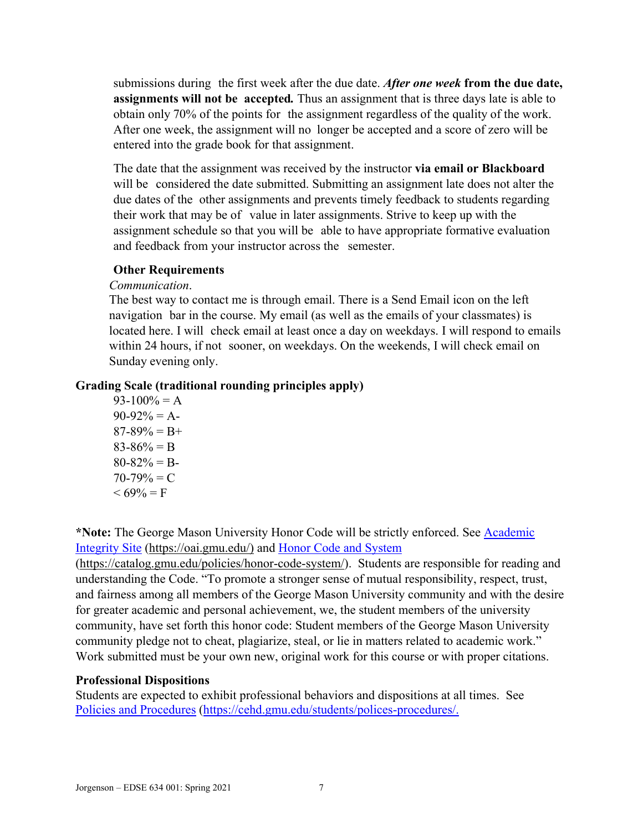submissions during the first week after the due date. *After one week* **from the due date, assignments will not be accepted***.* Thus an assignment that is three days late is able to obtain only 70% of the points for the assignment regardless of the quality of the work. After one week, the assignment will no longer be accepted and a score of zero will be entered into the grade book for that assignment.

The date that the assignment was received by the instructor **via email or Blackboard**  will be considered the date submitted. Submitting an assignment late does not alter the due dates of the other assignments and prevents timely feedback to students regarding their work that may be of value in later assignments. Strive to keep up with the assignment schedule so that you will be able to have appropriate formative evaluation and feedback from your instructor across the semester.

### **Other Requirements**

### *Communication*.

The best way to contact me is through email. There is a Send Email icon on the left navigation bar in the course. My email (as well as the emails of your classmates) is located here. I will check email at least once a day on weekdays. I will respond to emails within 24 hours, if not sooner, on weekdays. On the weekends, I will check email on Sunday evening only.

# **Grading Scale (traditional rounding principles apply)**

 $93-100% = A$  $90-92\% = A$ - $87-89\% = B+$  $83-86% = B$  $80 - 82\% = B$  $70-79\% = C$  $< 69\% = F$ 

**\*Note:** The George Mason University Honor Code will be strictly enforced. See [Academic](https://oai.gmu.edu/)  [Integrity Site](https://oai.gmu.edu/) [\(https://oai.gmu.edu/\)](https://oai.gmu.edu/) and [Honor Code and System](https://catalog.gmu.edu/policies/honor-code-system/)

[\(https://catalog.gmu.edu/policies/honor-code-system/\)](https://catalog.gmu.edu/policies/honor-code-system/). Students are responsible for reading and understanding the Code. "To promote a stronger sense of mutual responsibility, respect, trust, and fairness among all members of the George Mason University community and with the desire for greater academic and personal achievement, we, the student members of the university community, have set forth this honor code: Student members of the George Mason University community pledge not to cheat, plagiarize, steal, or lie in matters related to academic work." Work submitted must be your own new, original work for this course or with proper citations.

# **Professional Dispositions**

Students are expected to exhibit professional behaviors and dispositions at all times. See [Policies and Procedures](https://cehd.gmu.edu/students/polices-procedures/) [\(https://cehd.gmu.edu/students/polices-procedures/.](https://cehd.gmu.edu/students/polices-procedures/)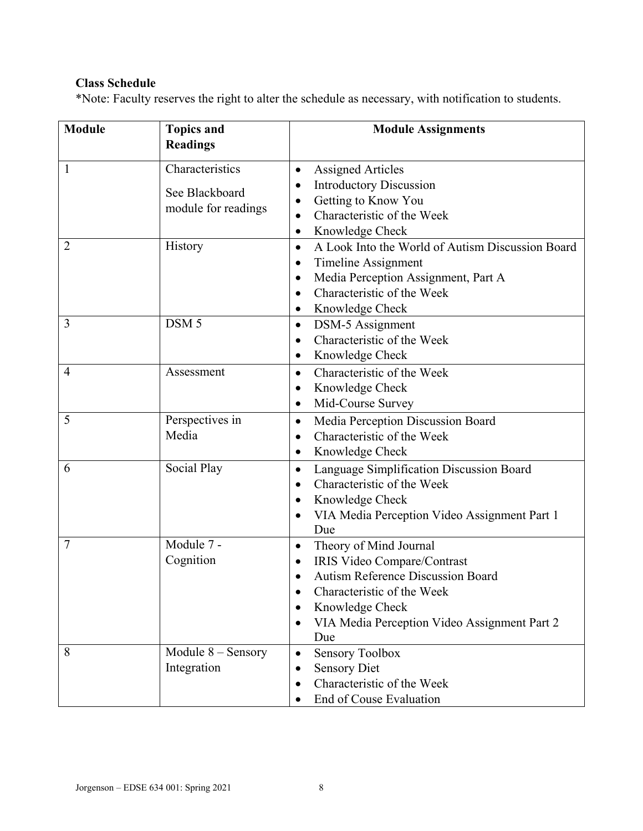# **Class Schedule**

\*Note: Faculty reserves the right to alter the schedule as necessary, with notification to students.

| <b>Module</b>  | <b>Topics and</b><br><b>Readings</b> | <b>Module Assignments</b>                                                                                                                                                                                                                        |
|----------------|--------------------------------------|--------------------------------------------------------------------------------------------------------------------------------------------------------------------------------------------------------------------------------------------------|
| 1              | Characteristics<br>See Blackboard    | <b>Assigned Articles</b><br>$\bullet$<br><b>Introductory Discussion</b><br>$\bullet$<br>Getting to Know You<br>$\bullet$                                                                                                                         |
|                | module for readings                  | Characteristic of the Week<br>Knowledge Check<br>$\bullet$                                                                                                                                                                                       |
| $\overline{2}$ | History                              | A Look Into the World of Autism Discussion Board<br>$\bullet$<br><b>Timeline Assignment</b><br>$\bullet$<br>Media Perception Assignment, Part A<br>$\bullet$<br>Characteristic of the Week<br>$\bullet$<br>Knowledge Check<br>٠                  |
| 3              | DSM <sub>5</sub>                     | <b>DSM-5</b> Assignment<br>$\bullet$<br>Characteristic of the Week<br>$\bullet$<br>Knowledge Check<br>$\bullet$                                                                                                                                  |
| $\overline{4}$ | Assessment                           | Characteristic of the Week<br>$\bullet$<br>Knowledge Check<br>$\bullet$<br>Mid-Course Survey<br>$\bullet$                                                                                                                                        |
| 5              | Perspectives in<br>Media             | Media Perception Discussion Board<br>$\bullet$<br>Characteristic of the Week<br>Knowledge Check<br>$\bullet$                                                                                                                                     |
| 6              | Social Play                          | Language Simplification Discussion Board<br>$\bullet$<br>Characteristic of the Week<br>$\bullet$<br>Knowledge Check<br>$\bullet$<br>VIA Media Perception Video Assignment Part 1<br>$\bullet$<br>Due                                             |
| 7              | Module 7 -<br>Cognition              | Theory of Mind Journal<br>$\bullet$<br>IRIS Video Compare/Contrast<br>$\bullet$<br><b>Autism Reference Discussion Board</b><br>Characteristic of the Week<br>Knowledge Check<br>VIA Media Perception Video Assignment Part 2<br>$\bullet$<br>Due |
| 8              | Module $8 -$ Sensory<br>Integration  | <b>Sensory Toolbox</b><br>$\bullet$<br><b>Sensory Diet</b><br>٠<br>Characteristic of the Week<br>$\bullet$<br>End of Couse Evaluation                                                                                                            |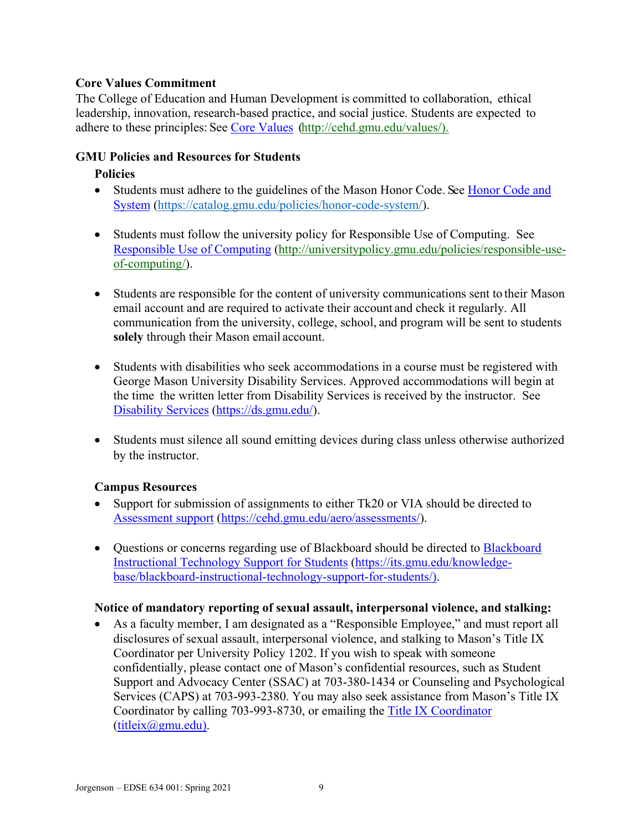# **Core Values Commitment**

The College of Education and Human Development is committed to collaboration, ethical leadership, innovation, research-based practice, and social justice. Students are expected to adhere to these principles: See [Core Values](http://cehd.gmu.edu/values/) [\(http://cehd.gmu.edu/values/\)](http://cehd.gmu.edu/values/).

### **GMU Policies and Resources for Students**

### **Policies**

- Students must adhere to the guidelines of the Mason Honor Code. See Honor Code and [System](https://catalog.gmu.edu/policies/honor-code-system/) [\(https://catalog.gmu.edu/policies/honor-code-system/\)](https://catalog.gmu.edu/policies/honor-code-system/).
- Students must follow the university policy for Responsible Use of Computing. See [Responsible Use of Computing](http://universitypolicy.gmu.edu/policies/responsible-use-of-computing/) [\(http://universitypolicy.gmu.edu/policies/responsible-use](http://universitypolicy.gmu.edu/policies/responsible-use-of-computing/)[of-computing/\)](http://universitypolicy.gmu.edu/policies/responsible-use-of-computing/).
- Students are responsible for the content of university communications sent to their Mason email account and are required to activate their account and check it regularly. All communication from the university, college, school, and program will be sent to students **solely** through their Mason email account.
- Students with disabilities who seek accommodations in a course must be registered with George Mason University Disability Services. Approved accommodations will begin at the time the written letter from Disability Services is received by the instructor. See [Disability Services](https://ds.gmu.edu/) [\(https://ds.gmu.edu/\)](https://ds.gmu.edu/).
- Students must silence all sound emitting devices during class unless otherwise authorized by the instructor.

### **Campus Resources**

- Support for submission of assignments to either Tk20 or VIA should be directed to [Assessment support](mailto:https://cehd.gmu.edu/aero/assessments/) [\(https://cehd.gmu.edu/aero/assessments/\)](https://cehd.gmu.edu/aero/assessments/).
- Questions or concerns regarding use of [Blackboard](https://its.gmu.edu/knowledge-base/blackboard-instructional-technology-support-for-students/) should be directed to Blackboard [Instructional Technology Support for Students](https://its.gmu.edu/knowledge-base/blackboard-instructional-technology-support-for-students/) [\(https://its.gmu.edu/knowledge](https://its.gmu.edu/knowledge-base/blackboard-instructional-technology-support-for-students/)[base/blackboard-instructional-technology-support-for-students/\)](https://its.gmu.edu/knowledge-base/blackboard-instructional-technology-support-for-students/).

### **Notice of mandatory reporting of sexual assault, interpersonal violence, and stalking:**

• As a faculty member, I am designated as a "Responsible Employee," and must report all disclosures of sexual assault, interpersonal violence, and stalking to Mason's Title IX Coordinator per University Policy 1202. If you wish to speak with someone confidentially, please contact one of Mason's confidential resources, such as Student Support and Advocacy Center (SSAC) at 703-380-1434 or Counseling and Psychological Services (CAPS) at 703-993-2380. You may also seek assistance from Mason's Title IX Coordinator by calling 703-993-8730, or emailing the [Title IX Coordinator](mailto:titleix@gmu.edu)  $(titleix@gmu.edu).$  $(titleix@gmu.edu).$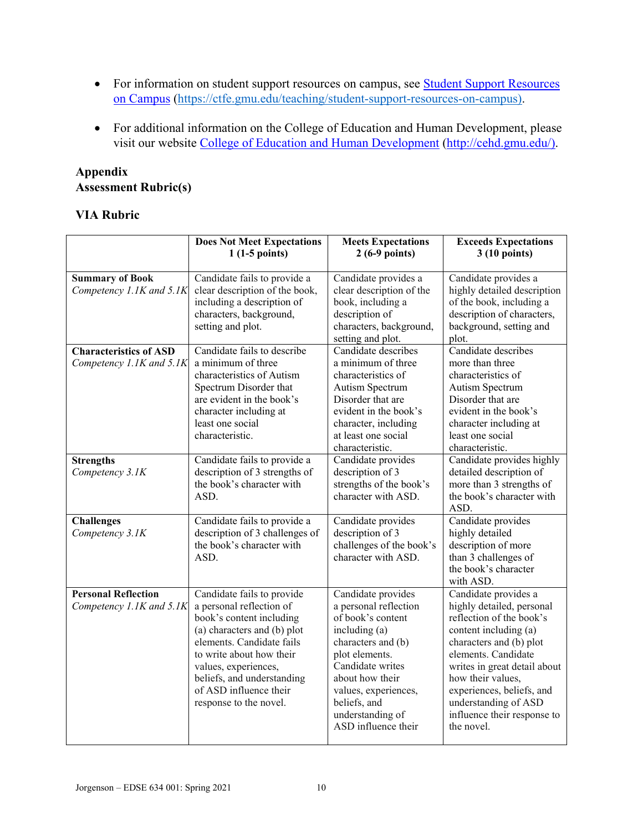- For information on student support resources on campus, see **Student Support Resources** [on Campus](https://ctfe.gmu.edu/teaching/student-support-resources-on-campus) [\(https://ctfe.gmu.edu/teaching/student-support-resources-on-campus\)](https://ctfe.gmu.edu/teaching/student-support-resources-on-campus).
- For additional information on the College of Education and Human Development, please visit our website [College of Education and Human Development](http://cehd.gmu.edu/) [\(http://cehd.gmu.edu/\)](https://cehd.gmu.edu/).

# **Appendix Assessment Rubric(s)**

# **VIA Rubric**

|                                                           | <b>Does Not Meet Expectations</b><br>$1(1-5 points)$                                                                                                                                                                                                                                 | <b>Meets Expectations</b><br>$2(6-9 points)$                                                                                                                                                                                                        | <b>Exceeds Expectations</b><br>3 (10 points)                                                                                                                                                                                                                                                                    |
|-----------------------------------------------------------|--------------------------------------------------------------------------------------------------------------------------------------------------------------------------------------------------------------------------------------------------------------------------------------|-----------------------------------------------------------------------------------------------------------------------------------------------------------------------------------------------------------------------------------------------------|-----------------------------------------------------------------------------------------------------------------------------------------------------------------------------------------------------------------------------------------------------------------------------------------------------------------|
| <b>Summary of Book</b><br>Competency 1.1K and 5.1K        | Candidate fails to provide a<br>clear description of the book,<br>including a description of<br>characters, background,<br>setting and plot.                                                                                                                                         | Candidate provides a<br>clear description of the<br>book, including a<br>description of<br>characters, background,<br>setting and plot.                                                                                                             | Candidate provides a<br>highly detailed description<br>of the book, including a<br>description of characters,<br>background, setting and<br>plot.                                                                                                                                                               |
| <b>Characteristics of ASD</b><br>Competency 1.1K and 5.1K | Candidate fails to describe<br>a minimum of three<br>characteristics of Autism<br>Spectrum Disorder that<br>are evident in the book's<br>character including at<br>least one social<br>characteristic.                                                                               | Candidate describes<br>a minimum of three<br>characteristics of<br>Autism Spectrum<br>Disorder that are<br>evident in the book's<br>character, including<br>at least one social<br>characteristic.                                                  | Candidate describes<br>more than three<br>characteristics of<br>Autism Spectrum<br>Disorder that are<br>evident in the book's<br>character including at<br>least one social<br>characteristic.                                                                                                                  |
| <b>Strengths</b><br>Competency 3.1K                       | Candidate fails to provide a<br>description of 3 strengths of<br>the book's character with<br>ASD.                                                                                                                                                                                   | Candidate provides<br>description of 3<br>strengths of the book's<br>character with ASD.                                                                                                                                                            | Candidate provides highly<br>detailed description of<br>more than 3 strengths of<br>the book's character with<br>ASD.                                                                                                                                                                                           |
| <b>Challenges</b><br>Competency 3.1K                      | Candidate fails to provide a<br>description of 3 challenges of<br>the book's character with<br>ASD.                                                                                                                                                                                  | Candidate provides<br>description of 3<br>challenges of the book's<br>character with ASD.                                                                                                                                                           | Candidate provides<br>highly detailed<br>description of more<br>than 3 challenges of<br>the book's character<br>with ASD.                                                                                                                                                                                       |
| <b>Personal Reflection</b><br>Competency 1.1K and 5.1K    | Candidate fails to provide<br>a personal reflection of<br>book's content including<br>(a) characters and (b) plot<br>elements. Candidate fails<br>to write about how their<br>values, experiences,<br>beliefs, and understanding<br>of ASD influence their<br>response to the novel. | Candidate provides<br>a personal reflection<br>of book's content<br>including (a)<br>characters and (b)<br>plot elements.<br>Candidate writes<br>about how their<br>values, experiences,<br>beliefs, and<br>understanding of<br>ASD influence their | Candidate provides a<br>highly detailed, personal<br>reflection of the book's<br>content including (a)<br>characters and (b) plot<br>elements. Candidate<br>writes in great detail about<br>how their values,<br>experiences, beliefs, and<br>understanding of ASD<br>influence their response to<br>the novel. |